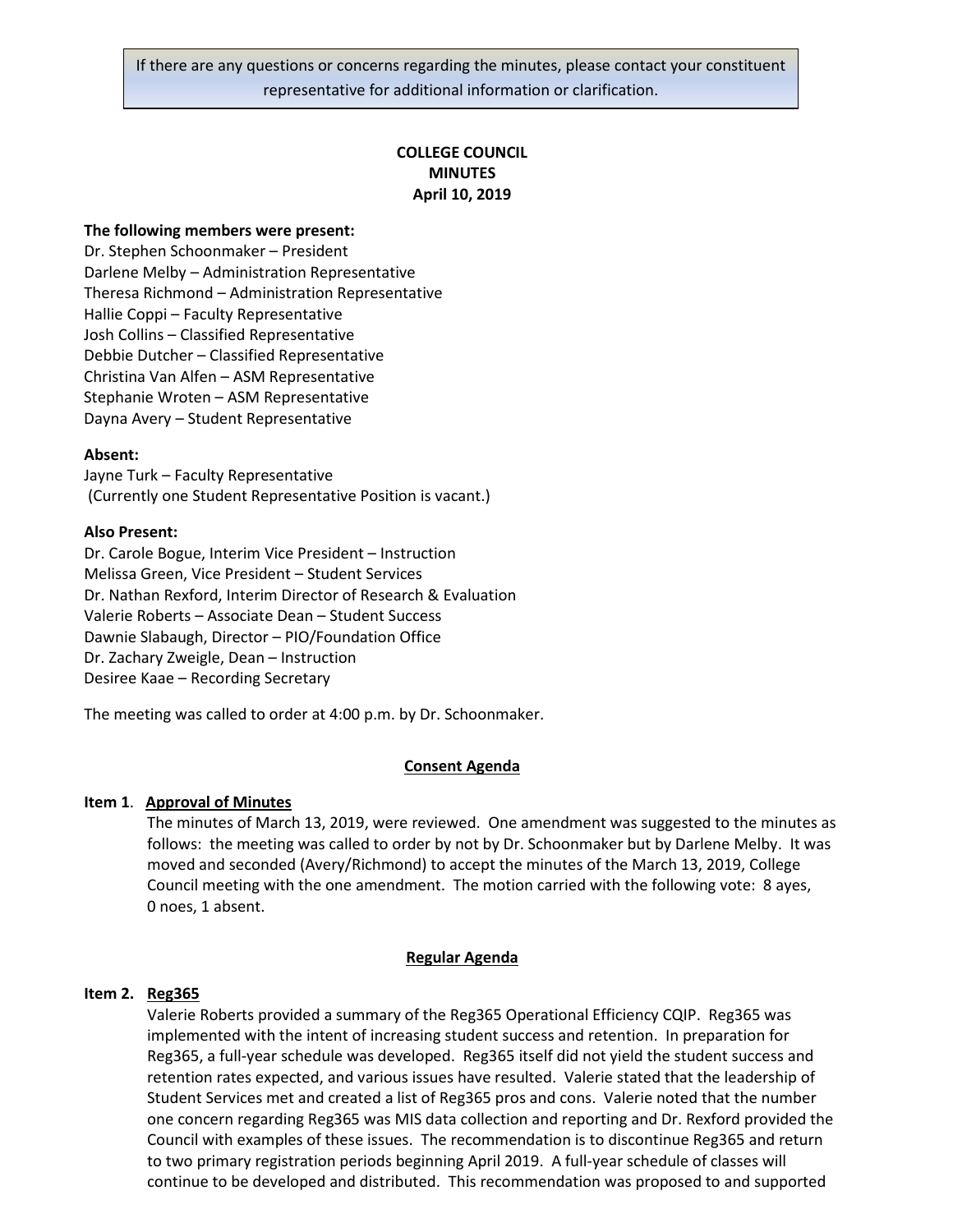# **COLLEGE COUNCIL MINUTES April 10, 2019**

#### **The following members were present:**

Dr. Stephen Schoonmaker – President Darlene Melby – Administration Representative Theresa Richmond – Administration Representative Hallie Coppi – Faculty Representative Josh Collins – Classified Representative Debbie Dutcher – Classified Representative Christina Van Alfen – ASM Representative Stephanie Wroten – ASM Representative Dayna Avery – Student Representative

#### **Absent:**

Jayne Turk – Faculty Representative (Currently one Student Representative Position is vacant.)

#### **Also Present:**

Dr. Carole Bogue, Interim Vice President – Instruction Melissa Green, Vice President – Student Services Dr. Nathan Rexford, Interim Director of Research & Evaluation Valerie Roberts – Associate Dean – Student Success Dawnie Slabaugh, Director – PIO/Foundation Office Dr. Zachary Zweigle, Dean – Instruction Desiree Kaae – Recording Secretary

The meeting was called to order at 4:00 p.m. by Dr. Schoonmaker.

### **Consent Agenda**

### **Item 1**. **Approval of Minutes**

The minutes of March 13, 2019, were reviewed. One amendment was suggested to the minutes as follows: the meeting was called to order by not by Dr. Schoonmaker but by Darlene Melby. It was moved and seconded (Avery/Richmond) to accept the minutes of the March 13, 2019, College Council meeting with the one amendment. The motion carried with the following vote: 8 ayes, 0 noes, 1 absent.

#### **Regular Agenda**

#### **Item 2. Reg365**

Valerie Roberts provided a summary of the Reg365 Operational Efficiency CQIP. Reg365 was implemented with the intent of increasing student success and retention. In preparation for Reg365, a full-year schedule was developed. Reg365 itself did not yield the student success and retention rates expected, and various issues have resulted. Valerie stated that the leadership of Student Services met and created a list of Reg365 pros and cons. Valerie noted that the number one concern regarding Reg365 was MIS data collection and reporting and Dr. Rexford provided the Council with examples of these issues. The recommendation is to discontinue Reg365 and return to two primary registration periods beginning April 2019. A full-year schedule of classes will continue to be developed and distributed. This recommendation was proposed to and supported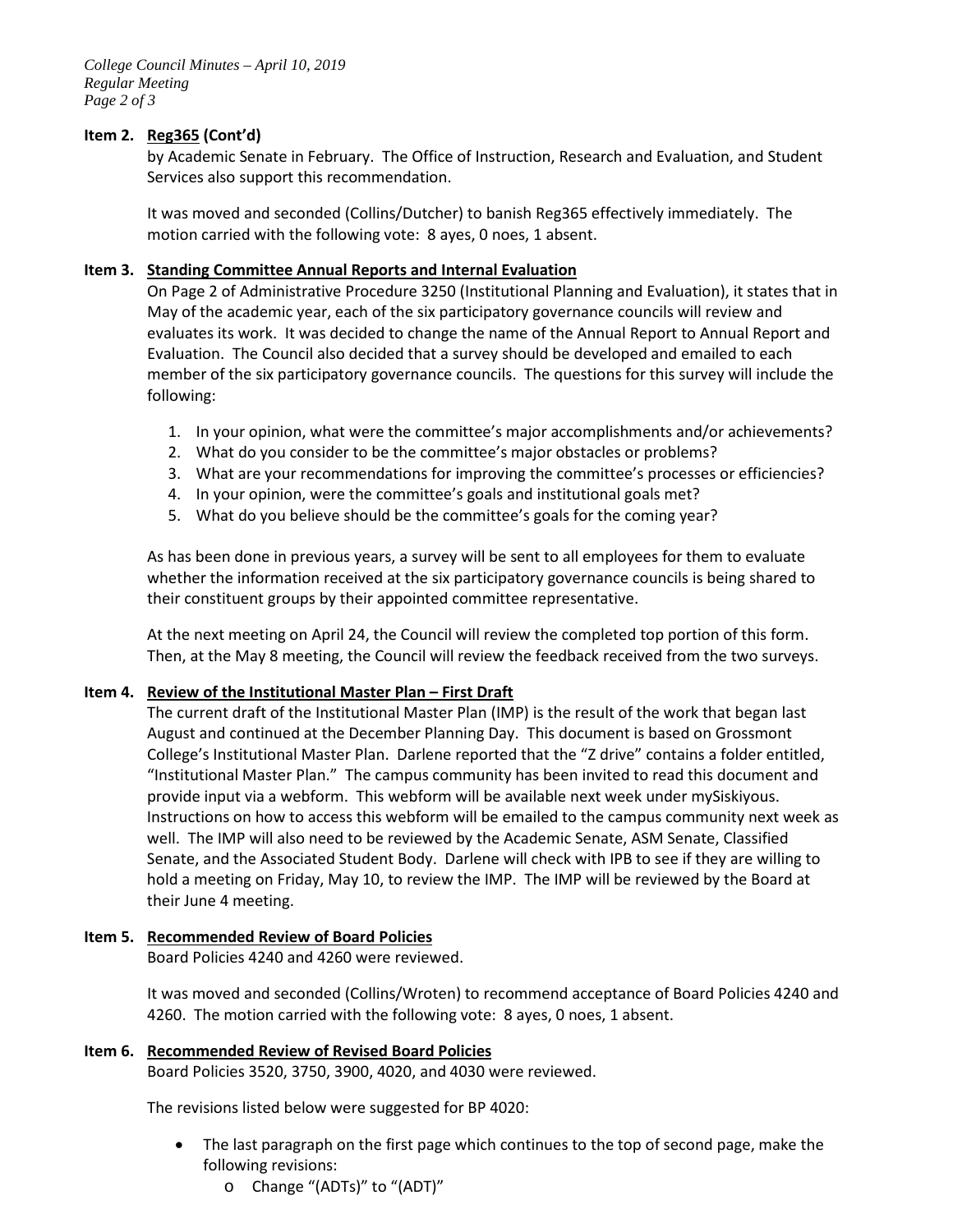## **Item 2. Reg365 (Cont'd)**

by Academic Senate in February. The Office of Instruction, Research and Evaluation, and Student Services also support this recommendation.

It was moved and seconded (Collins/Dutcher) to banish Reg365 effectively immediately. The motion carried with the following vote: 8 ayes, 0 noes, 1 absent.

## **Item 3. Standing Committee Annual Reports and Internal Evaluation**

On Page 2 of Administrative Procedure 3250 (Institutional Planning and Evaluation), it states that in May of the academic year, each of the six participatory governance councils will review and evaluates its work. It was decided to change the name of the Annual Report to Annual Report and Evaluation. The Council also decided that a survey should be developed and emailed to each member of the six participatory governance councils. The questions for this survey will include the following:

- 1. In your opinion, what were the committee's major accomplishments and/or achievements?
- 2. What do you consider to be the committee's major obstacles or problems?
- 3. What are your recommendations for improving the committee's processes or efficiencies?
- 4. In your opinion, were the committee's goals and institutional goals met?
- 5. What do you believe should be the committee's goals for the coming year?

As has been done in previous years, a survey will be sent to all employees for them to evaluate whether the information received at the six participatory governance councils is being shared to their constituent groups by their appointed committee representative.

At the next meeting on April 24, the Council will review the completed top portion of this form. Then, at the May 8 meeting, the Council will review the feedback received from the two surveys.

### **Item 4. Review of the Institutional Master Plan – First Draft**

The current draft of the Institutional Master Plan (IMP) is the result of the work that began last August and continued at the December Planning Day. This document is based on Grossmont College's Institutional Master Plan. Darlene reported that the "Z drive" contains a folder entitled, "Institutional Master Plan." The campus community has been invited to read this document and provide input via a webform. This webform will be available next week under mySiskiyous. Instructions on how to access this webform will be emailed to the campus community next week as well. The IMP will also need to be reviewed by the Academic Senate, ASM Senate, Classified Senate, and the Associated Student Body. Darlene will check with IPB to see if they are willing to hold a meeting on Friday, May 10, to review the IMP. The IMP will be reviewed by the Board at their June 4 meeting.

### **Item 5. Recommended Review of Board Policies**

Board Policies 4240 and 4260 were reviewed.

It was moved and seconded (Collins/Wroten) to recommend acceptance of Board Policies 4240 and 4260. The motion carried with the following vote: 8 ayes, 0 noes, 1 absent.

### **Item 6. Recommended Review of Revised Board Policies**

Board Policies 3520, 3750, 3900, 4020, and 4030 were reviewed.

The revisions listed below were suggested for BP 4020:

- The last paragraph on the first page which continues to the top of second page, make the following revisions:
	- o Change "(ADTs)" to "(ADT)"